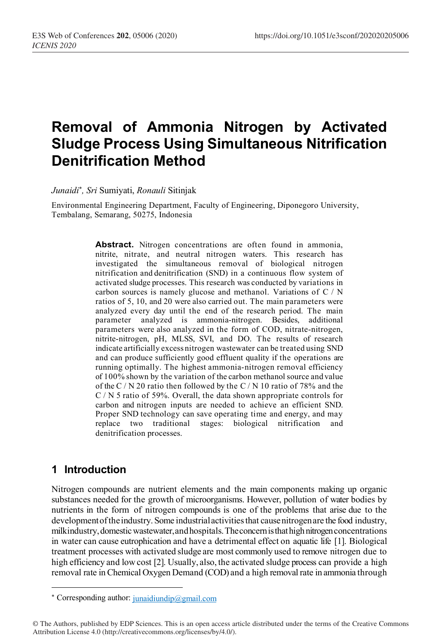# **Removal of Ammonia Nitrogen by Activated Sludge Process Using Simultaneous Nitrification Denitrification Method**

*Junaidi*\* *, Sri* Sumiyati, *Ronauli* Sitinjak

Environmental Engineering Department, Faculty of Engineering, Diponegoro University, Tembalang, Semarang, 50275, Indonesia

> Abstract. Nitrogen concentrations are often found in ammonia, nitrite, nitrate, and neutral nitrogen waters. This research has investigated the simultaneous removal of biological nitrogen nitrification and denitrification (SND) in a continuous flow system of activated sludge processes. This research was conducted by variations in carbon sources is namely glucose and methanol. Variations of C / N ratios of 5, 10, and 20 were also carried out. The main parameters were analyzed every day until the end of the research period. The main parameter analyzed is ammonia-nitrogen. Besides, additional parameters were also analyzed in the form of COD, nitrate-nitrogen, nitrite-nitrogen, pH, MLSS, SVI, and DO. The results of research indicate artificially excess nitrogen wastewater can be treated using SND and can produce sufficiently good effluent quality if the operations are running optimally. The highest ammonia-nitrogen removal efficiency of 100% shown by the variation of the carbon methanol source and value of the C / N 20 ratio then followed by the C / N 10 ratio of 78% and the C / N 5 ratio of 59%. Overall, the data shown appropriate controls for carbon and nitrogen inputs are needed to achieve an efficient SND. Proper SND technology can save operating time and energy, and may replace two traditional stages: biological nitrification and denitrification processes.

## **1 Introduction**

 $\overline{a}$ 

Nitrogen compounds are nutrient elements and the main components making up organic substances needed for the growth of microorganisms. However, pollution of water bodies by nutrients in the form of nitrogen compounds is one of the problems that arise due to the development of the industry. Some industrial activities that cause nitrogen are the food industry, milkindustry, domestic wastewater, and hospitals. The concern is that high nitrogen concentrations in water can cause eutrophication and have a detrimental effect on aquatic life [1]. Biological treatment processes with activated sludge are most commonly used to remove nitrogen due to high efficiency and low cost [2]. Usually, also, the activated sludge process can provide a high removal rate in Chemical Oxygen Demand (COD) and a high removal rate in ammonia through

<sup>\*</sup> Corresponding author:  $j$ unaidiundip@gmail.com

<sup>©</sup> The Authors, published by EDP Sciences. This is an open access article distributed under the terms of the Creative Commons Attribution License 4.0 (http://creativecommons.org/licenses/by/4.0/).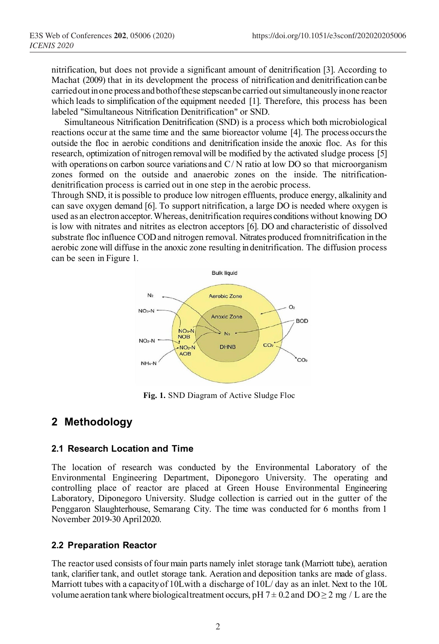nitrification, but does not provide a significant amount of denitrification [3]. According to Machat (2009) that in its development the process of nitrification and denitrification canbe carriedoutinone process andbothofthese stepscan be carried outsimultaneouslyinone reactor which leads to simplification of the equipment needed [1]. Therefore, this process has been labeled "Simultaneous Nitrification Denitrification" or SND.

Simultaneous Nitrification Denitrification (SND) is a process which both microbiological reactions occur at the same time and the same bioreactor volume [4]. The process occursthe outside the floc in aerobic conditions and denitrification inside the anoxic floc. As for this research, optimization of nitrogen removalwill be modified by the activated sludge process [5] with operations on carbon source variations and C/N ratio at low DO so that microorganism zones formed on the outside and anaerobic zones on the inside. The nitrificationdenitrification process is carried out in one step in the aerobic process.

Through SND, it is possible to produce low nitrogen effluents, produce energy, alkalinity and can save oxygen demand [6]. To support nitrification, a large DO is needed where oxygen is used as an electron acceptor.Whereas, denitrification requires conditions without knowing DO is low with nitrates and nitrites as electron acceptors [6]. DO and characteristic of dissolved substrate floc influence COD and nitrogen removal. Nitrates produced fromnitrification in the aerobic zone will diffuse in the anoxic zone resulting in denitrification. The diffusion process can be seen in Figure 1.



**Fig. 1.** SND Diagram of Active Sludge Floc

## **2 Methodology**

### **2.1 Research Location and Time**

The location of research was conducted by the Environmental Laboratory of the Environmental Engineering Department, Diponegoro University. The operating and controlling place of reactor are placed at Green House Environmental Engineering Laboratory, Diponegoro University. Sludge collection is carried out in the gutter of the Penggaron Slaughterhouse, Semarang City. The time was conducted for 6 months from 1 November 2019-30 April2020.

### **2.2 Preparation Reactor**

The reactor used consists of four main parts namely inlet storage tank (Marriott tube), aeration tank, clarifier tank, and outlet storage tank. Aeration and deposition tanks are made of glass. Marriott tubes with a capacity of 10L with a discharge of 10L/day as an inlet. Next to the 10L volume aeration tank where biological treatment occurs, pH  $7 \pm 0.2$  and  $DO \ge 2$  mg / L are the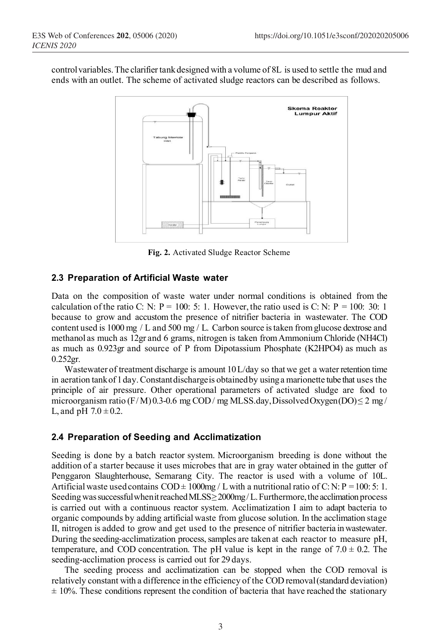control variables. The clarifier tank designed with a volume of 8L is used to settle the mud and ends with an outlet. The scheme of activated sludge reactors can be described as follows.



**Fig. 2.** Activated Sludge Reactor Scheme

### **2.3 Preparation of Artificial Waste water**

Data on the composition of waste water under normal conditions is obtained from the calculation of the ratio C: N:  $P = 100$ : 5: 1. However, the ratio used is C: N:  $P = 100$ : 30: 1 because to grow and accustom the presence of nitrifier bacteria in wastewater. The COD content used is 1000 mg / L and 500 mg / L. Carbon source is taken from glucose dextrose and methanol as much as 12gr and 6 grams, nitrogen is taken fromAmmonium Chloride (NH4Cl) as much as 0.923gr and source of P from Dipotassium Phosphate (K2HPO4) as much as  $0.252$ gr.

Wastewater of treatment discharge is amount  $10 L/day$  so that we get a water retention time in aeration tankof 1day.Constantdischargeis obtainedby usinga marionette tube that uses the principle of air pressure. Other operational parameters of activated sludge are food to microorganism ratio (F/M)0.3-0.6 mg COD/ mg MLSS.day, Dissolved Oxygen(DO)  $\leq$  2 mg/ L, and pH  $7.0 \pm 0.2$ .

### **2.4 Preparation of Seeding and Acclimatization**

Seeding is done by a batch reactor system. Microorganism breeding is done without the addition of a starter because it uses microbes that are in gray water obtained in the gutter of Penggaron Slaughterhouse, Semarang City. The reactor is used with a volume of 10L. Artificial waste used contains COD  $\pm$  1000mg / L with a nutritional ratio of C: N: P = 100: 5: 1. Seeding was successful when it reached MLSS≥2000mg/L. Furthermore, the acclimation process is carried out with a continuous reactor system. Acclimatization I aim to adapt bacteria to organic compounds by adding artificial waste from glucose solution. In the acclimation stage II, nitrogen is added to grow and get used to the presence of nitrifier bacteria inwastewater. During the seeding-acclimatization process, samples are taken at each reactor to measure pH, temperature, and COD concentration. The pH value is kept in the range of  $7.0 \pm 0.2$ . The seeding-acclimation process is carried out for 29 days.

The seeding process and acclimatization can be stopped when the COD removal is relatively constant with a difference in the efficiency of the COD removal(standard deviation)  $± 10%$ . These conditions represent the condition of bacteria that have reached the stationary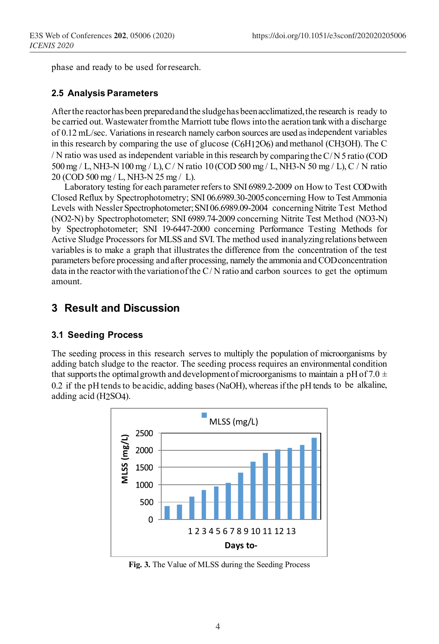phase and ready to be used forresearch.

#### **2.5 Analysis Parameters**

After the reactor has been prepared and the sludge has been acclimatized, the research is ready to be carried out. Wastewater from the Marriott tube flows into the aeration tank with a discharge of 0.12 mL/sec. Variations in research namely carbon sources are used as independent variables in this research by comparing the use of glucose (C6H12O6) and methanol (CH3OH). The C / N ratio was used as independent variable in this research by comparingtheC/ N5 ratio (COD 500mg / L, NH3-N100 mg / L),C/ N ratio 10 (COD 500 mg / L, NH3-N 50 mg / L), C / N ratio 20 (COD 500 mg / L, NH3-N 25 mg / L).

Laboratory testing for each parameter refersto SNI 6989.2-2009 on How to Test COD with Closed Reflux by Spectrophotometry; SNI 06.6989.30-2005concerning How to Test Ammonia Levels with Nessler Spectrophotometer;SNI06.6989.09-2004 concerningNitrite Test Method (NO2-N) by Spectrophotometer; SNI 6989.74-2009 concerning Nitrite Test Method (NO3-N) by Spectrophotometer; SNI 19-6447-2000 concerning Performance Testing Methods for Active Sludge Processors for MLSS and SVI. The method used in analyzingrelations between variables is to make a graph that illustrates the difference from the concentration of the test parameters before processing and after processing, namely the ammonia and CODconcentration data in the reactor with the variation of the  $C/N$  ratio and carbon sources to get the optimum amount.

### **3 Result and Discussion**

### **3.1 Seeding Process**

The seeding process in this research serves to multiply the population of microorganisms by adding batch sludge to the reactor. The seeding process requires an environmental condition that supports the optimal growth and development of microorganisms to maintain a pH of 7.0  $\pm$ 0.2 if the pH tendsto be acidic, adding bases(NaOH), whereasifthe pH tends to be alkaline, adding acid (H2SO4).

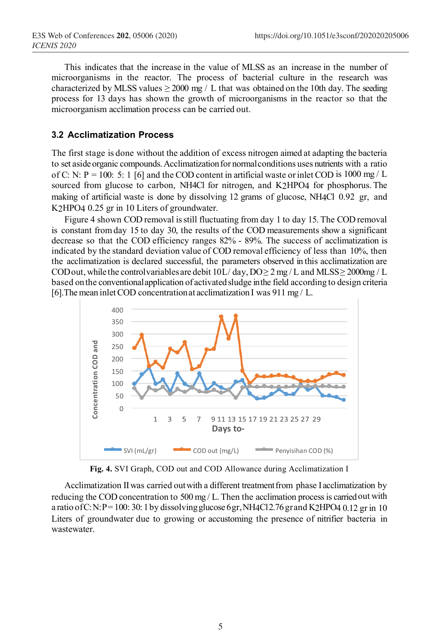This indicates that the increase in the value of MLSS as an increase in the number of microorganisms in the reactor. The process of bacterial culture in the research was characterized by MLSS values  $\geq 2000$  mg / L that was obtained on the 10th day. The seeding process for 13 days has shown the growth of microorganisms in the reactor so that the microorganism acclimation process can be carried out.

#### **3.2 Acclimatization Process**

The first stage is done without the addition of excess nitrogen aimed at adapting the bacteria to set aside organic compounds. Acclimatization for normal conditions uses nutrients with a ratio of C: N:  $P = 100$ : 5: 1 [6] and the COD content in artificial waste or inlet COD is 1000 mg / L sourced from glucose to carbon, NH4Cl for nitrogen, and K2HPO4 for phosphorus. The making of artificial waste is done by dissolving 12 grams of glucose, NH4Cl 0.92 gr, and K2HPO4 0.25 gr in 10 Liters of groundwater.

Figure 4 shown COD removal is still fluctuating from day 1 to day 15. The COD removal is constant fromday 15 to day 30, the results of the COD measurements show a significant decrease so that the COD efficiency ranges 82% - 89%. The success of acclimatization is indicated by the standard deviation value of COD removal efficiency of less than 10%, then the acclimatization is declared successful, the parameters observed in this acclimatization are CODout, while the controlvariables are debit  $10L/day$ ,  $DO\geq 2mg/L$  and MLSS $\geq 2000mg/L$ based onthe conventionalapplication of activatedsludge inthe field according to design criteria [6]. The mean inlet COD concentration at acclimatization I was 911 mg / L.



**Fig. 4.** SVI Graph, COD out and COD Allowance during Acclimatization I

Acclimatization IIwas carried outwith a different treatmentfrom phase I acclimatization by reducing the COD concentration to 500 mg / L. Then the acclimation process is carried out with a ratio of C:N:P= 100: 30: 1 by dissolving glucose 6gr, NH4Cl2.76 gr and K2HPO4 0.12 gr in 10 Liters of groundwater due to growing or accustoming the presence of nitrifier bacteria in wastewater.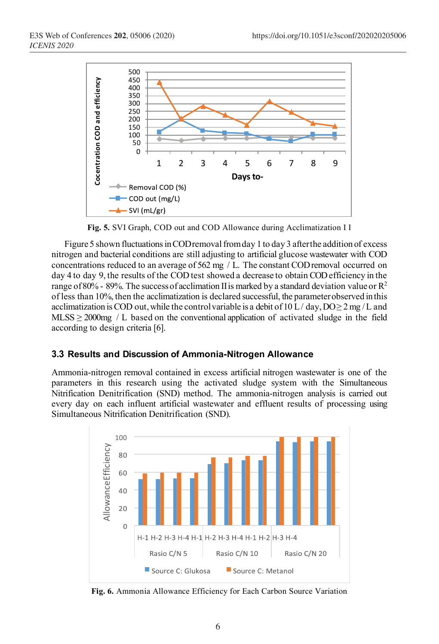

**Fig. 5.** SVI Graph, COD out and COD Allowance during Acclimatization I I

Figure 5 shown fluctuations in CODremoval from day 1 to day 3 after the addition of excess nitrogen and bacterial conditions are still adjusting to artificial glucose wastewater with COD concentrations reduced to an average of 562 mg / L. The constant CODremoval occurred on day 4 to day 9, the results of the COD test showed a decrease to obtain COD efficiency in the range of 80% - 89%. The success of acclimation II is marked by a standard deviation value or  $\mathbb{R}^2$ of less than 10%, then the acclimatization is declared successful, the parameterobserved inthis acclimatization is COD out, while the control variable is a debit of  $10 L/day$ ,  $DO \ge 2 mg/L$  and MLSS  $\geq$  2000mg / L based on the conventional application of activated sludge in the field according to design criteria [6].

#### **3.3 Results and Discussion of Ammonia-Nitrogen Allowance**

Ammonia-nitrogen removal contained in excess artificial nitrogen wastewater is one of the parameters in this research using the activated sludge system with the Simultaneous Nitrification Denitrification (SND) method. The ammonia-nitrogen analysis is carried out every day on each influent artificial wastewater and effluent results of processing using Simultaneous Nitrification Denitrification (SND).



**Fig. 6.** Ammonia Allowance Efficiency for Each Carbon Source Variation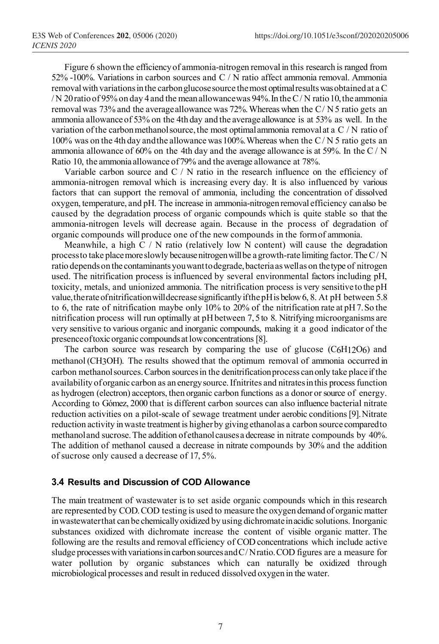Figure 6 shown the efficiencyof ammonia-nitrogen removal in this research is ranged from 52% -100%. Variations in carbon sources and C / N ratio affect ammonia removal. Ammonia removal with variations in the carbon glucose source the most optimal results was obtained at a C / N 20 ratio of 95% on day 4 and the mean allowance was 94%. In the C/N ratio 10, the ammonia removal was  $73\%$  and the average allowance was  $72\%$ . Whereas when the C/N 5 ratio gets an ammonia allowance of 53% on the 4th day and the average allowance is at 53% as well. In the variation of the carbon methanol source, the most optimal ammonia removal at a  $C/N$  ratio of 100% was on the 4th day andthe allowance was100%.Whereas when the C/ N 5 ratio gets an ammonia allowance of 60% on the 4th day and the average allowance is at 59%. In the C / N Ratio 10, the ammonia allowance of79% and the average allowance at 78%.

Variable carbon source and C / N ratio in the research influence on the efficiency of ammonia-nitrogen removal which is increasing every day. It is also influenced by various factors that can support the removal of ammonia, including the concentration of dissolved oxygen, temperature, and pH. The increase in ammonia-nitrogenremoval efficiency canalso be caused by the degradation process of organic compounds which is quite stable so that the ammonia-nitrogen levels will decrease again. Because in the process of degradation of organic compounds will produce one of the new compounds in the formof ammonia.

Meanwhile, a high C / N ratio (relatively low N content) will cause the degradation processto take placemoreslowly becausenitrogenwillbe a growth-rate limiting factor.The C/ N ratio depends on the contaminants you want to degrade, bacteria as well as on the type of nitrogen used. The nitrification process is influenced by several environmental factors including pH, toxicity, metals, and unionized ammonia. The nitrification process is very sensitive tothe pH value,therate ofnitrificationwilldecrease significantlyifthe pHis below 6, 8. At pH between 5.8 to 6, the rate of nitrification maybe only 10% to 20% of the nitrification rate at pH7.So the nitrification process will run optimally at pHbetween 7, 5to 8. Nitrifying microorganisms are very sensitive to various organic and inorganic compounds, making it a good indicator of the presenceoftoxic organic compoundsat lowconcentrations [8].

The carbon source was research by comparing the use of glucose (C6H12O6) and methanol (CH3OH). The results showed that the optimum removal of ammonia occurred in carbon methanol sources. Carbon sources in the denitrification process can only take place if the availability oforganic carbon as an energysource.Ifnitrites and nitratesinthis process function as hydrogen (electron) acceptors, then organic carbon functions as a donor orsource of energy. According to Gómez, 2000 that is different carbon sources can also influence bacterial nitrate reduction activities on a pilot-scale of sewage treatment under aerobic conditions[9].Nitrate reduction activity inwaste treatment is higherby giving ethanolas a carbon source comparedto methanoland sucrose. The addition of ethanol causes a decrease in nitrate compounds by 40%. The addition of methanol caused a decrease in nitrate compounds by 30% and the addition of sucrose only caused a decrease of 17, 5%.

### **3.4 Results and Discussion of COD Allowance**

The main treatment of wastewater is to set aside organic compounds which in this research are represented by COD. COD testing is used to measure the oxygen demand of organic matter inwastewaterthat canbe chemicallyoxidized by using dichromateinacidic solutions. Inorganic substances oxidized with dichromate increase the content of visible organic matter. The following are the results and removal efficiency of COD concentrations which include active sludge processes with variations in carbon sources and C/Nratio. COD figures are a measure for water pollution by organic substances which can naturally be oxidized through microbiological processes and result in reduced dissolved oxygen in the water.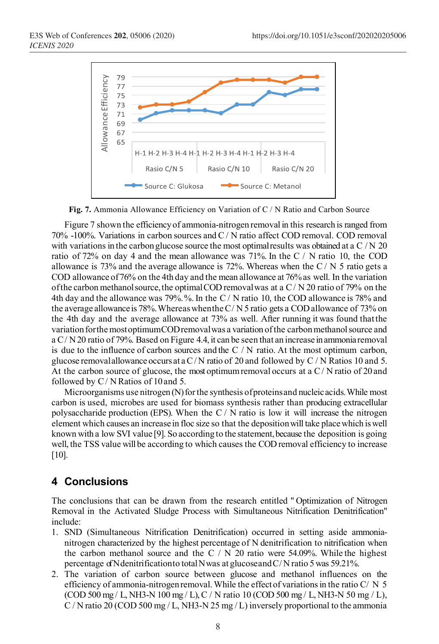

**Fig. 7.** Ammonia Allowance Efficiency on Variation of C / N Ratio and Carbon Source

Figure 7 shown the efficiencyof ammonia-nitrogen removal in this research is ranged from 70% -100%. Variations in carbon sources and C/ N ratio affect COD removal. COD removal with variations in the carbon glucose source the most optimal results was obtained at a C  $/N$  20 ratio of 72% on day 4 and the mean allowance was 71%. In the C / N ratio 10, the COD allowance is 73% and the average allowance is 72%. Whereas when the  $C/N$  5 ratio gets a COD allowance of76% on the 4th day and the mean allowance at 76%as well. In the variation of the carbon methanol source, the optimal COD removal was at a  $C/N$  20 ratio of 79% on the 4th day and the allowance was 79%.%.In the C / N ratio 10, the COD allowance is 78% and the average allowanceis 78%.WhereaswhentheC/ N 5 ratio gets a COD allowance of 73% on the 4th day and the average allowance at 73% as well. After running it was found thatthe variation for the most optimumCOD removal was a variation of the carbon methanol source and a C/ N20 ratio of 79%. Based on Figure 4.4, it can be seen that an increase inammoniaremoval is due to the influence of carbon sources and the C  $/N$  ratio. At the most optimum carbon, glucose removal allowance occurs at a C/N ratio of 20 and followed by C/N Ratios 10 and 5. At the carbon source of glucose, the most optimum removal occurs at a  $C/N$  ratio of 20 and followed by C/ N Ratios of 10and 5. Fraction of the same of the same of the amplitude of the amplitude of the amplitude of the amplitude of the amplitude of the amplitude of the amplitude of the amplitude of the amplitude of the amplitude of the amplitude o

Microorganisms use nitrogen  $(N)$  for the synthesis of proteins and nucleic acids. While most carbon is used, microbes are used for biomass synthesis rather than producing extracellular polysaccharide production (EPS). When the  $C/N$  ratio is low it will increase the nitrogen element which causes an increase in floc size so that the depositionwill take placewhich iswell known with a low SVI value [9]. So according to the statement, because the deposition is going well, the TSS value will be according to which causes the COD removal efficiency to increase [10].

### **4 Conclusions**

The conclusions that can be drawn from the research entitled " Optimization of Nitrogen Removal in the Activated Sludge Process with Simultaneous Nitrification Denitrification" include:

- 1. SND (Simultaneous Nitrification Denitrification) occurred in setting aside ammonianitrogen characterized by the highest percentage of N denitrification to nitrification when the carbon methanol source and the C  $/$  N 20 ratio were 54.09%. While the highest percentage ofNdenitrificationto totalNwas at glucoseandC/ N ratio 5was 59.21%.
- 2. The variation of carbon source between glucose and methanol influences on the efficiency of ammonia-nitrogen removal. While the effect of variations in the ratio C/  $N \times 5$ (COD 500 mg / L, NH3-N 100 mg / L), C / N ratio 10 (COD 500 mg / L, NH3-N 50 mg / L),